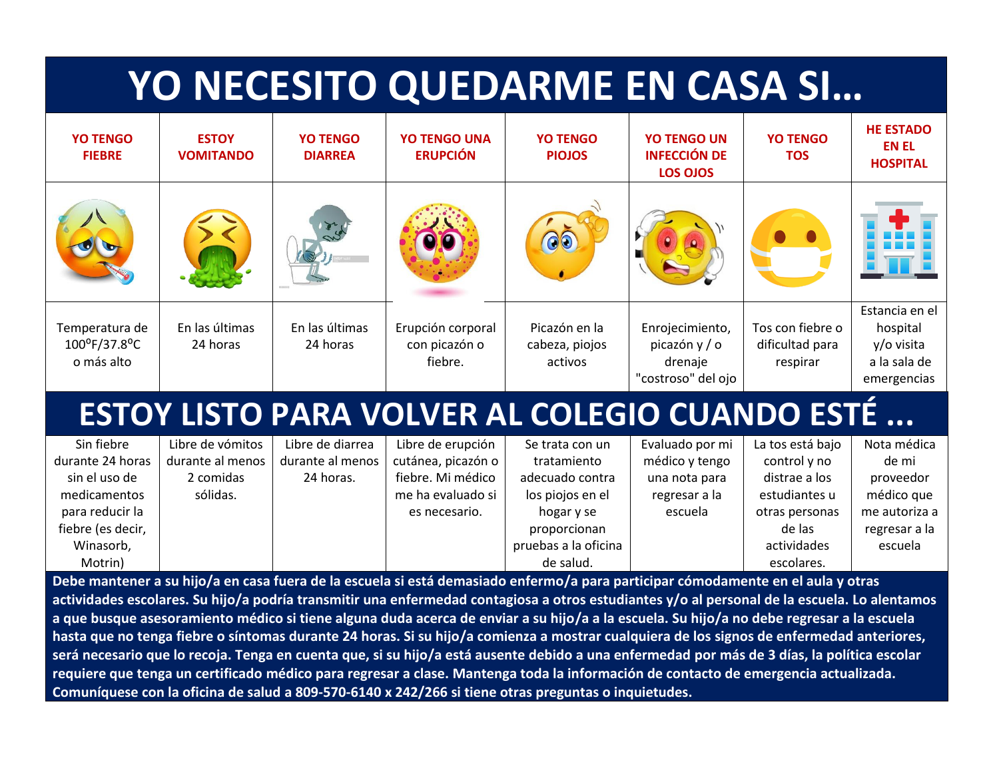## **YO NECESITO QUEDARME EN CASA SI…**

| $\odot$                                                                                                                                                                                                                                                                                                                                                                                                    |
|------------------------------------------------------------------------------------------------------------------------------------------------------------------------------------------------------------------------------------------------------------------------------------------------------------------------------------------------------------------------------------------------------------|
|                                                                                                                                                                                                                                                                                                                                                                                                            |
| Estancia en el<br>En las últimas<br>Erupción corporal<br>Tos con fiebre o<br>Temperatura de<br>En las últimas<br>Picazón en la<br>Enrojecimiento,<br>hospital<br>100°F/37.8°C<br>picazón y / o<br>dificultad para<br>y/o visita<br>24 horas<br>24 horas<br>con picazón o<br>cabeza, piojos<br>fiebre.<br>a la sala de<br>o más alto<br>drenaje<br>activos<br>respirar<br>"costroso" del ojo<br>emergencias |
| <b>ESTOY LISTO PARA VOLVER AL COLEGIO CUANDO ESTÉ </b>                                                                                                                                                                                                                                                                                                                                                     |
| Sin fiebre<br>Libre de diarrea<br>Nota médica<br>Libre de vómitos<br>Libre de erupción<br>La tos está bajo<br>Evaluado por mi<br>Se trata con un                                                                                                                                                                                                                                                           |
| cutánea, picazón o<br>durante 24 horas<br>durante al menos<br>médico y tengo<br>durante al menos<br>control y no<br>de mi<br>tratamiento                                                                                                                                                                                                                                                                   |
| fiebre. Mi médico<br>sin el uso de<br>distrae a los<br>2 comidas<br>24 horas.<br>adecuado contra<br>una nota para<br>proveedor                                                                                                                                                                                                                                                                             |
| sólidas.<br>médico que<br>medicamentos<br>me ha evaluado si<br>los piojos en el<br>regresar a la<br>estudiantes u                                                                                                                                                                                                                                                                                          |
| para reducir la<br>escuela<br>me autoriza a<br>hogar y se<br>otras personas<br>es necesario.                                                                                                                                                                                                                                                                                                               |
| fiebre (es decir,<br>proporcionan<br>de las<br>regresar a la                                                                                                                                                                                                                                                                                                                                               |
| pruebas a la oficina<br>Winasorb,<br>actividades<br>escuela                                                                                                                                                                                                                                                                                                                                                |
| de salud.<br>Motrin)<br>escolares.<br>Debe mantener a su bije la en casa fuera de la escuela si está demasiado enfermo la para participar cómodamente en el qula y otras                                                                                                                                                                                                                                   |

**Debe mantener a su hijo/a en casa fuera de la escuela si está demasiado enfermo/a para participar cómodamente en el aula y otras actividades escolares. Su hijo/a podría transmitir una enfermedad contagiosa a otros estudiantes y/o al personal de la escuela. Lo alentamos a que busque asesoramiento médico si tiene alguna duda acerca de enviar a su hijo/a a la escuela. Su hijo/a no debe regresar a la escuela hasta que no tenga fiebre o síntomas durante 24 horas. Si su hijo/a comienza a mostrar cualquiera de los signos de enfermedad anteriores, será necesario que lo recoja. Tenga en cuenta que, si su hijo/a está ausente debido a una enfermedad por más de 3 días, la política escolar requiere que tenga un certificado médico para regresar a clase. Mantenga toda la información de contacto de emergencia actualizada. Comuníquese con la oficina de salud a 809-570-6140 x 242/266 si tiene otras preguntas o inquietudes.**